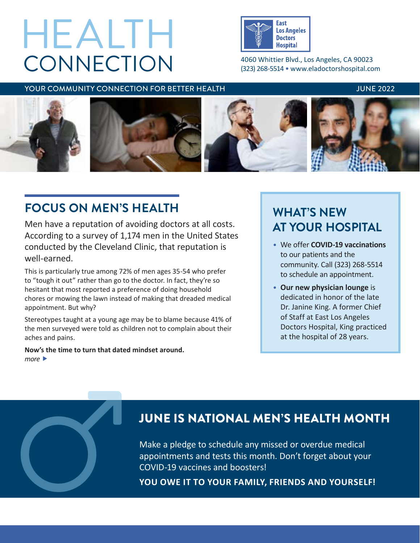# **CONNECTION** HEALTH



4060 Whittier Blvd., Los Angeles, CA 90023 (323) 268-5514 • [www.eladoctorshospital.com](http://www.eladoctorshospital.com)

### YOUR COMMUNITY CONNECTION FOR BETTER HEALTH THE SAME AND THE 2022 INNERGALISM.



# **FOCUS ON MEN'S HEALTH**

Men have a reputation of avoiding doctors at all costs. According to a survey of 1,174 men in the United States conducted by the Cleveland Clinic, that reputation is well-earned.

This is particularly true among 72% of men ages 35-54 who prefer to "tough it out" rather than go to the doctor. In fact, they're so hesitant that most reported a preference of doing household chores or mowing the lawn instead of making that dreaded medical appointment. But why?

Stereotypes taught at a young age may be to blame because 41% of the men surveyed were told as children not to complain about their aches and pains.

**Now's the time to turn that dated mindset around.** *more* 

# **WHAT'S NEW AT YOUR HOSPITAL**

- We offer **COVID-19 vaccinations**  to our patients and the community. Call (323) 268-5514 to schedule an appointment.
- **Our new physician lounge** is dedicated in honor of the late Dr. Janine King. A former Chief of Staff at East Los Angeles Doctors Hospital, King practiced at the hospital of 28 years.

# JUNE IS NATIONAL MEN'S HEALTH MONTH

Make a pledge to schedule any missed or overdue medical appointments and tests this month. Don't forget about your JUNE IS NATIONAL MEN'S HEALTH MON<sup>W</sup><br>Make a pledge to schedule any missed or overdue medical<br>appointments and tests this month. Don't forget about your<br>COVID-19 vaccines and boosters!<br>YOU OWE IT TO YOUR FAMILY, FRIENDS AND